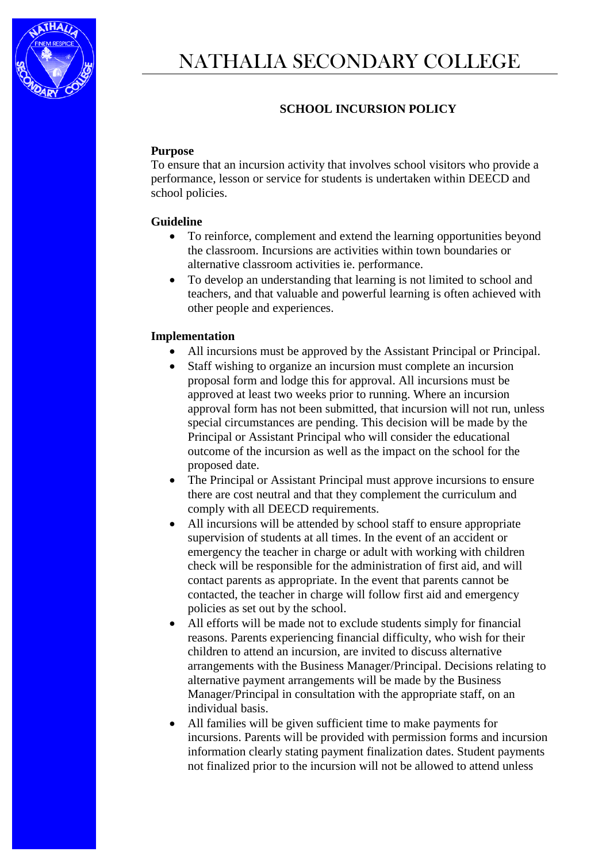

# **SCHOOL INCURSION POLICY**

### **Purpose**

To ensure that an incursion activity that involves school visitors who provide a performance, lesson or service for students is undertaken within DEECD and school policies.

### **Guideline**

- To reinforce, complement and extend the learning opportunities beyond the classroom. Incursions are activities within town boundaries or alternative classroom activities ie. performance.
- To develop an understanding that learning is not limited to school and teachers, and that valuable and powerful learning is often achieved with other people and experiences.

### **Implementation**

- All incursions must be approved by the Assistant Principal or Principal.
- Staff wishing to organize an incursion must complete an incursion proposal form and lodge this for approval. All incursions must be approved at least two weeks prior to running. Where an incursion approval form has not been submitted, that incursion will not run, unless special circumstances are pending. This decision will be made by the Principal or Assistant Principal who will consider the educational outcome of the incursion as well as the impact on the school for the proposed date.
- The Principal or Assistant Principal must approve incursions to ensure there are cost neutral and that they complement the curriculum and comply with all DEECD requirements.
- All incursions will be attended by school staff to ensure appropriate supervision of students at all times. In the event of an accident or emergency the teacher in charge or adult with working with children check will be responsible for the administration of first aid, and will contact parents as appropriate. In the event that parents cannot be contacted, the teacher in charge will follow first aid and emergency policies as set out by the school.
- All efforts will be made not to exclude students simply for financial reasons. Parents experiencing financial difficulty, who wish for their children to attend an incursion, are invited to discuss alternative arrangements with the Business Manager/Principal. Decisions relating to alternative payment arrangements will be made by the Business Manager/Principal in consultation with the appropriate staff, on an individual basis.
- All families will be given sufficient time to make payments for incursions. Parents will be provided with permission forms and incursion information clearly stating payment finalization dates. Student payments not finalized prior to the incursion will not be allowed to attend unless